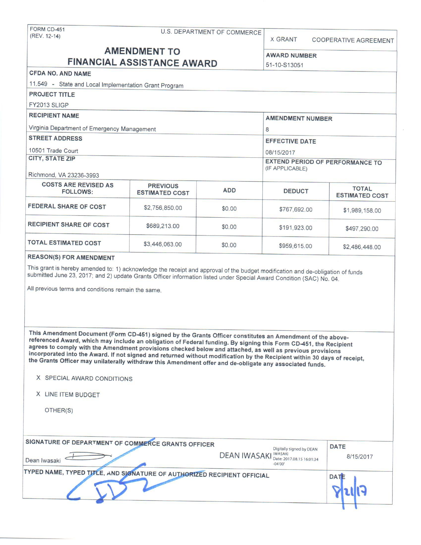FORM CD-451 U.S. DEPARTMENT OF COMMERCE (REV. 12-14)

X GRANT COOPERATIVE AGREEMENT

# **AMENDMENT TO** AWARD NUMBER **FINANCIAL ASSISTANCE AWARD** 51-10-S13051

#### **CFDA NO. AND NAME**

| $11.549 -$<br>State and Local Implementation Grant Program |                       |                                                                         |               |                                       |
|------------------------------------------------------------|-----------------------|-------------------------------------------------------------------------|---------------|---------------------------------------|
| <b>PROJECT TITLE</b>                                       |                       |                                                                         |               |                                       |
| FY2013 SLIGP                                               |                       |                                                                         |               |                                       |
| <b>RECIPIENT NAME</b>                                      |                       | <b>AMENDMENT NUMBER</b>                                                 |               |                                       |
| Virginia Department of Emergency Management                |                       | 8                                                                       |               |                                       |
| <b>STREET ADDRESS</b>                                      |                       | <b>EFFECTIVE DATE</b>                                                   |               |                                       |
| 10501 Trade Court                                          |                       | 08/15/2017<br><b>EXTEND PERIOD OF PERFORMANCE TO</b><br>(IF APPLICABLE) |               |                                       |
| <b>CITY, STATE ZIP</b><br>Richmond, VA 23236-3993          |                       |                                                                         |               |                                       |
| <b>COSTS ARE REVISED AS</b><br><b>PREVIOUS</b>             |                       |                                                                         |               |                                       |
| <b>FOLLOWS:</b>                                            | <b>ESTIMATED COST</b> | <b>ADD</b>                                                              | <b>DEDUCT</b> | <b>TOTAL</b><br><b>ESTIMATED COST</b> |
| <b>FEDERAL SHARE OF COST</b>                               | \$2,756,850.00        | \$0.00                                                                  | \$767,692.00  | \$1,989,158.00                        |
| <b>RECIPIENT SHARE OF COST</b>                             | \$689,213.00          | \$0.00                                                                  | \$191,923.00  | \$497,290.00                          |
| <b>TOTAL ESTIMATED COST</b>                                | \$3,446,063.00        | \$0.00                                                                  | \$959,615.00  | \$2,486,448.00                        |

#### **REASON(S) FOR AMENDMENT**

This grant is hereby amended to: 1) acknowledge the receipt and approval of the budget modification and de-obligation of funds submitted June 23, 2017; and 2) update Grants Officer information listed under Special Award Condition (SAC) No. 04.

All previous terms and conditions remain the same.

**This Amendment Document (Form CD-451 ) signed by the Grants Officer constitutes an Amendment of the above**referenced Award, which may include an obligation of Federal funding. By signing this Form CD-451, the Recipient agrees to comply with the Amendment provisions checked below and attached, as well as previous provisions **incorporated** into the **Award. If** not **signed and** returned without modification by the Recipient within **30 days of receipt, the Grants Officer may unilaterally withdraw** this Amendment **offer and** de-obligate **any associated** funds.

#### **X** SPECIAL AWARD CONDITIONS

**X** LINE ITEM BUDGET

OTHER(S)

| SIGNATURE OF DEPARTMENT OF COMMERCE GRANTS OFFICER<br>Dean Iwasaki      | Digitally signed by DEAN<br><b>DEAN IWASAKI</b> MASAKI Date: 2017.08.15 16:01:34<br>$-04'00'$ | <b>DATE</b> | 8/15/2017 |
|-------------------------------------------------------------------------|-----------------------------------------------------------------------------------------------|-------------|-----------|
| TYPED NAME, TYPED TITLE, AND SIGNATURE OF AUTHORIZED RECIPIENT OFFICIAL |                                                                                               | <b>DATE</b> |           |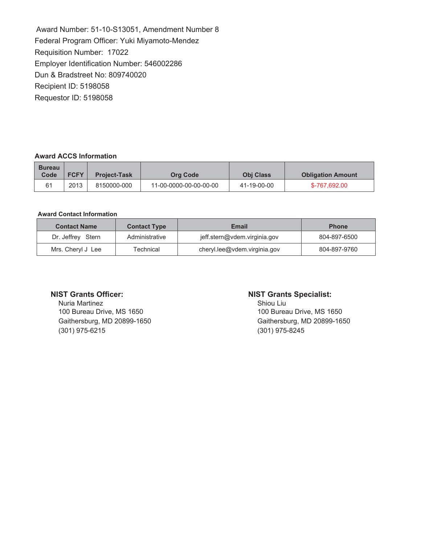Award Number: 51-10-S13051, Amendment Number 8 Federal Program Officer: Yuki Miyamoto-Mendez Requisition Number: 17022 Employer Identification Number: 546002286 Dun & Bradstreet No: 809740020 Recipient ID: 5198058 Requestor ID: 5198058

#### **Award ACCS Information**

| <b>Bureau</b><br>Code | <b>FCFY</b> | <b>Project-Task</b> | <b>Org Code</b>        | <b>Obi Class</b> | <b>Obligation Amount</b> |
|-----------------------|-------------|---------------------|------------------------|------------------|--------------------------|
| 61                    | 2013        | 8150000-000         | 11-00-0000-00-00-00-00 | 41-19-00-00      | \$-767.692.00            |

#### **Award Contact Information**

| <b>Contact Name</b> | <b>Contact Type</b> | <b>Email</b>                 | <b>Phone</b> |
|---------------------|---------------------|------------------------------|--------------|
| Dr. Jeffrey Stern   | Administrative      | jeff.stern@vdem.virginia.gov | 804-897-6500 |
| Mrs. Cheryl J Lee   | <b>Technical</b>    | cheryl.lee@vdem.virginia.gov | 804-897-9760 |

### **NIST Grants Officer:**

Nuria Martinez 100 Bureau Drive, MS 1650 Gaithersburg, MD 20899-1650 (301) 975-6215

#### **NIST Grants Specialist:**

Shiou Liu 100 Bureau Drive, MS 1650 Gaithersburg, MD 20899-1650 (301) 975-8245